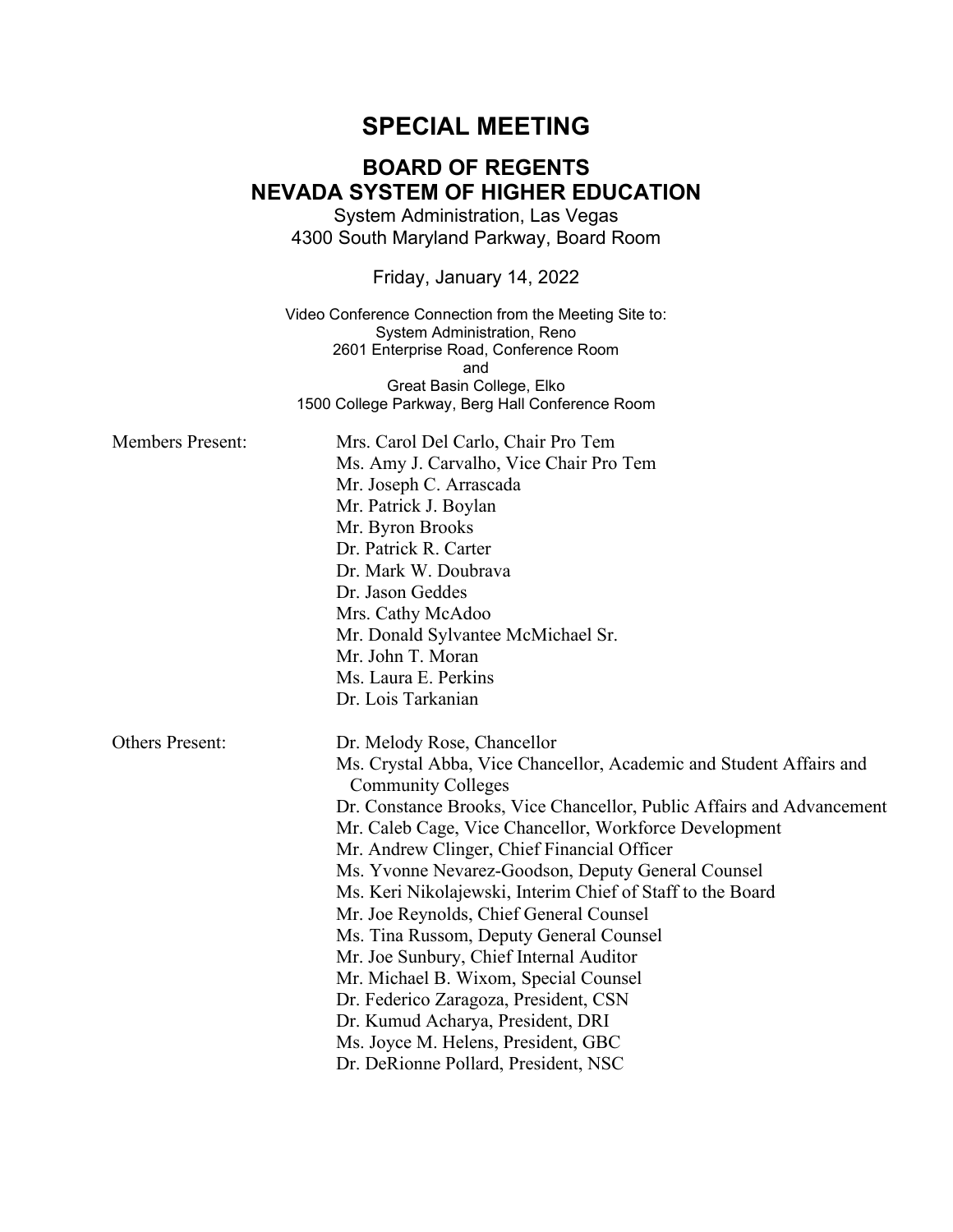# **SPECIAL MEETING**

## **BOARD OF REGENTS NEVADA SYSTEM OF HIGHER EDUCATION**

System Administration, Las Vegas 4300 South Maryland Parkway, Board Room

Friday, January 14, 2022

Video Conference Connection from the Meeting Site to: System Administration, Reno 2601 Enterprise Road, Conference Room and Great Basin College, Elko 1500 College Parkway, Berg Hall Conference Room

| <b>Members Present:</b> | Mrs. Carol Del Carlo, Chair Pro Tem<br>Ms. Amy J. Carvalho, Vice Chair Pro Tem<br>Mr. Joseph C. Arrascada<br>Mr. Patrick J. Boylan<br>Mr. Byron Brooks<br>Dr. Patrick R. Carter<br>Dr. Mark W. Doubrava<br>Dr. Jason Geddes<br>Mrs. Cathy McAdoo<br>Mr. Donald Sylvantee McMichael Sr.<br>Mr. John T. Moran<br>Ms. Laura E. Perkins                                                                                                                                                                                                                                                                                                                                                                                                                                          |
|-------------------------|------------------------------------------------------------------------------------------------------------------------------------------------------------------------------------------------------------------------------------------------------------------------------------------------------------------------------------------------------------------------------------------------------------------------------------------------------------------------------------------------------------------------------------------------------------------------------------------------------------------------------------------------------------------------------------------------------------------------------------------------------------------------------|
|                         | Dr. Lois Tarkanian                                                                                                                                                                                                                                                                                                                                                                                                                                                                                                                                                                                                                                                                                                                                                           |
| <b>Others Present:</b>  | Dr. Melody Rose, Chancellor<br>Ms. Crystal Abba, Vice Chancellor, Academic and Student Affairs and<br><b>Community Colleges</b><br>Dr. Constance Brooks, Vice Chancellor, Public Affairs and Advancement<br>Mr. Caleb Cage, Vice Chancellor, Workforce Development<br>Mr. Andrew Clinger, Chief Financial Officer<br>Ms. Yvonne Nevarez-Goodson, Deputy General Counsel<br>Ms. Keri Nikolajewski, Interim Chief of Staff to the Board<br>Mr. Joe Reynolds, Chief General Counsel<br>Ms. Tina Russom, Deputy General Counsel<br>Mr. Joe Sunbury, Chief Internal Auditor<br>Mr. Michael B. Wixom, Special Counsel<br>Dr. Federico Zaragoza, President, CSN<br>Dr. Kumud Acharya, President, DRI<br>Ms. Joyce M. Helens, President, GBC<br>Dr. DeRionne Pollard, President, NSC |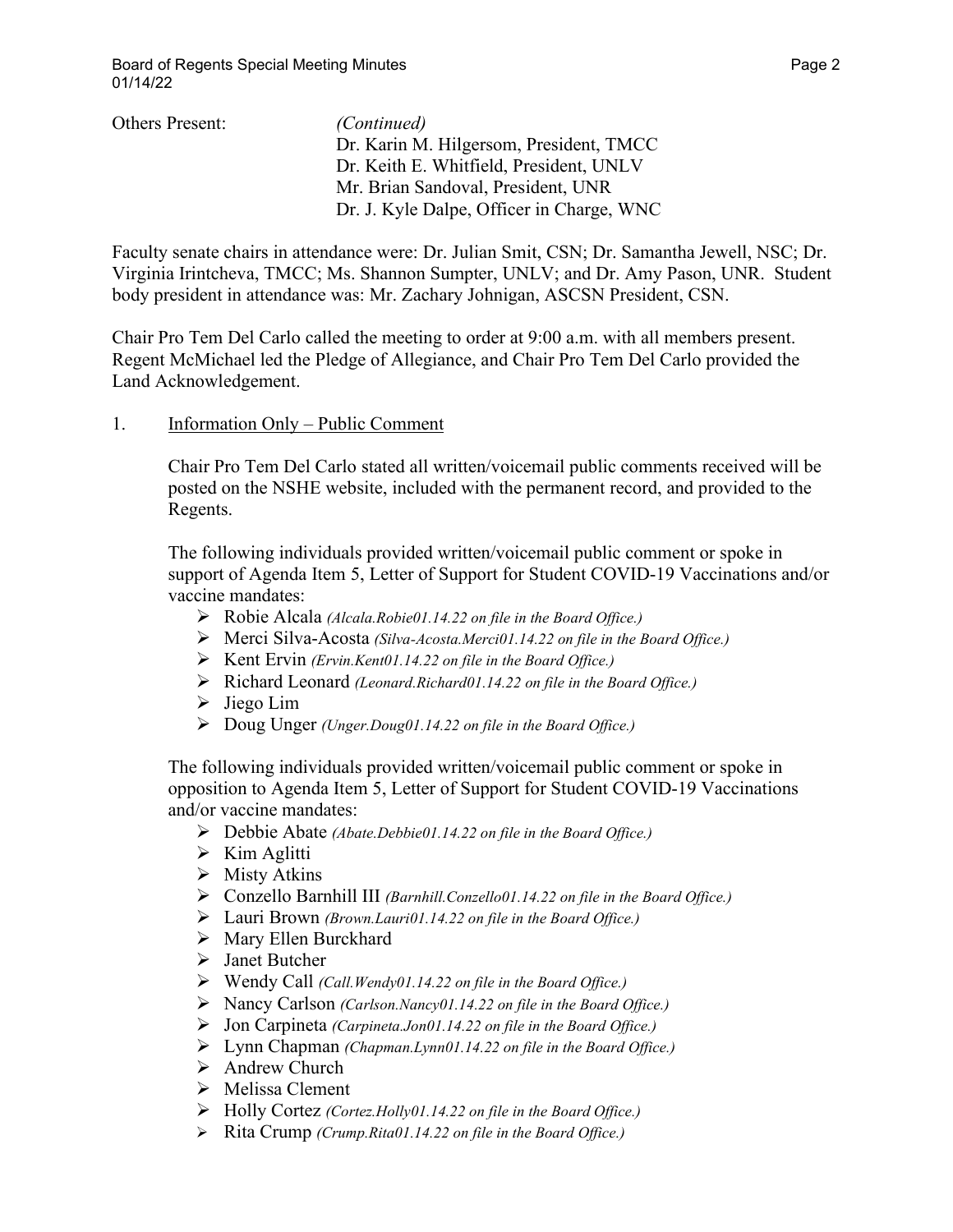| <i>(Continued)</i>                        |
|-------------------------------------------|
| Dr. Karin M. Hilgersom, President, TMCC   |
| Dr. Keith E. Whitfield, President, UNLV   |
| Mr. Brian Sandoval, President, UNR        |
| Dr. J. Kyle Dalpe, Officer in Charge, WNC |
|                                           |

Faculty senate chairs in attendance were: Dr. Julian Smit, CSN; Dr. Samantha Jewell, NSC; Dr. Virginia Irintcheva, TMCC; Ms. Shannon Sumpter, UNLV; and Dr. Amy Pason, UNR. Student body president in attendance was: Mr. Zachary Johnigan, ASCSN President, CSN.

Chair Pro Tem Del Carlo called the meeting to order at 9:00 a.m. with all members present. Regent McMichael led the Pledge of Allegiance, and Chair Pro Tem Del Carlo provided the Land Acknowledgement.

### 1. Information Only – Public Comment

Chair Pro Tem Del Carlo stated all written/voicemail public comments received will be posted on the NSHE website, included with the permanent record, and provided to the Regents.

The following individuals provided written/voicemail public comment or spoke in support of Agenda Item 5, Letter of Support for Student COVID-19 Vaccinations and/or vaccine mandates:

- Robie Alcala *(Alcala.Robie01.14.22 on file in the Board Office.)*
- Merci Silva-Acosta *(Silva-Acosta.Merci01.14.22 on file in the Board Office.)*
- Kent Ervin *(Ervin.Kent01.14.22 on file in the Board Office.)*
- Richard Leonard *(Leonard.Richard01.14.22 on file in the Board Office.)*
- $\triangleright$  Jiego Lim
- Doug Unger *(Unger.Doug01.14.22 on file in the Board Office.)*

The following individuals provided written/voicemail public comment or spoke in opposition to Agenda Item 5, Letter of Support for Student COVID-19 Vaccinations and/or vaccine mandates:

- Debbie Abate *(Abate.Debbie01.14.22 on file in the Board Office.)*
- $\triangleright$  Kim Aglitti
- $\triangleright$  Misty Atkins
- Conzello Barnhill III *(Barnhill.Conzello01.14.22 on file in the Board Office.)*
- Lauri Brown *(Brown.Lauri01.14.22 on file in the Board Office.)*
- Mary Ellen Burckhard
- > Janet Butcher
- Wendy Call *(Call.Wendy01.14.22 on file in the Board Office.)*
- Nancy Carlson *(Carlson.Nancy01.14.22 on file in the Board Office.)*
- Jon Carpineta *(Carpineta.Jon01.14.22 on file in the Board Office.)*
- Lynn Chapman *(Chapman.Lynn01.14.22 on file in the Board Office.)*
- $\triangleright$  Andrew Church
- $\triangleright$  Melissa Clement
- Holly Cortez *(Cortez.Holly01.14.22 on file in the Board Office.)*
- Rita Crump *(Crump.Rita01.14.22 on file in the Board Office.)*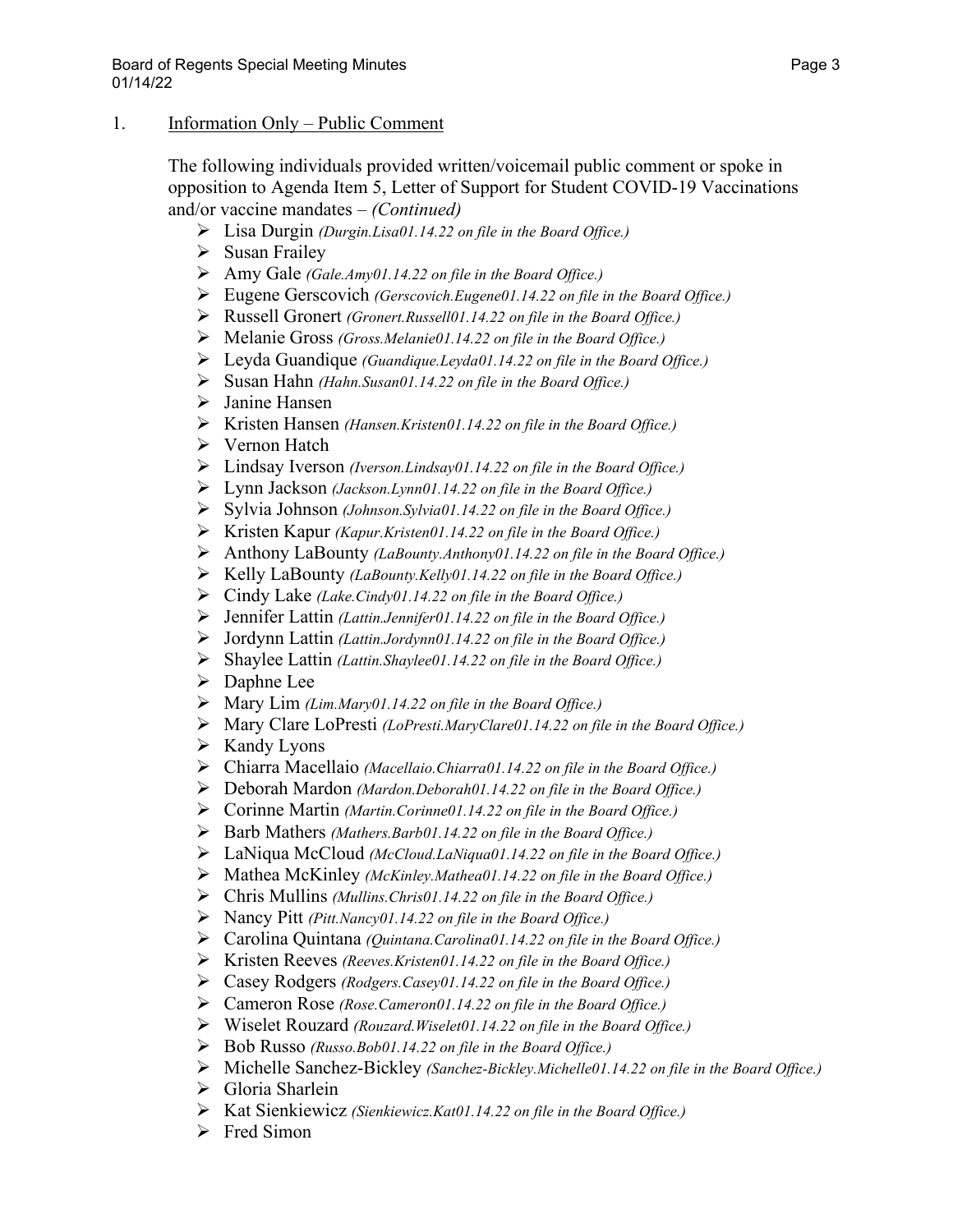### 1. Information Only – Public Comment

The following individuals provided written/voicemail public comment or spoke in opposition to Agenda Item 5, Letter of Support for Student COVID-19 Vaccinations and/or vaccine mandates – *(Continued)*

- Lisa Durgin *(Durgin.Lisa01.14.22 on file in the Board Office.)*
- $\triangleright$  Susan Frailey
- Amy Gale *(Gale.Amy01.14.22 on file in the Board Office.)*
- Eugene Gerscovich *(Gerscovich.Eugene01.14.22 on file in the Board Office.)*
- Russell Gronert *(Gronert.Russell01.14.22 on file in the Board Office.)*
- Melanie Gross *(Gross.Melanie01.14.22 on file in the Board Office.)*
- Leyda Guandique *(Guandique.Leyda01.14.22 on file in the Board Office.)*
- Susan Hahn *(Hahn.Susan01.14.22 on file in the Board Office.)*
- > Janine Hansen
- Kristen Hansen *(Hansen.Kristen01.14.22 on file in the Board Office.)*
- Vernon Hatch
- Lindsay Iverson *(Iverson.Lindsay01.14.22 on file in the Board Office.)*
- Lynn Jackson *(Jackson.Lynn01.14.22 on file in the Board Office.)*
- Sylvia Johnson *(Johnson.Sylvia01.14.22 on file in the Board Office.)*
- Kristen Kapur *(Kapur.Kristen01.14.22 on file in the Board Office.)*
- Anthony LaBounty *(LaBounty.Anthony01.14.22 on file in the Board Office.)*
- Kelly LaBounty *(LaBounty.Kelly01.14.22 on file in the Board Office.)*
- Cindy Lake *(Lake.Cindy01.14.22 on file in the Board Office.)*
- Jennifer Lattin *(Lattin.Jennifer01.14.22 on file in the Board Office.)*
- Jordynn Lattin *(Lattin.Jordynn01.14.22 on file in the Board Office.)*
- Shaylee Lattin *(Lattin.Shaylee01.14.22 on file in the Board Office.)*
- Daphne Lee
- Mary Lim *(Lim.Mary01.14.22 on file in the Board Office.)*
- Mary Clare LoPresti *(LoPresti.MaryClare01.14.22 on file in the Board Office.)*
- $\triangleright$  Kandy Lyons
- Chiarra Macellaio *(Macellaio.Chiarra01.14.22 on file in the Board Office.)*
- Deborah Mardon *(Mardon.Deborah01.14.22 on file in the Board Office.)*
- Corinne Martin *(Martin.Corinne01.14.22 on file in the Board Office.)*
- Barb Mathers *(Mathers.Barb01.14.22 on file in the Board Office.)*
- LaNiqua McCloud *(McCloud.LaNiqua01.14.22 on file in the Board Office.)*
- Mathea McKinley *(McKinley.Mathea01.14.22 on file in the Board Office.)*
- Chris Mullins *(Mullins.Chris01.14.22 on file in the Board Office.)*
- Nancy Pitt *(Pitt.Nancy01.14.22 on file in the Board Office.)*
- Carolina Quintana *(Quintana.Carolina01.14.22 on file in the Board Office.)*
- Kristen Reeves *(Reeves.Kristen01.14.22 on file in the Board Office.)*
- Casey Rodgers *(Rodgers.Casey01.14.22 on file in the Board Office.)*
- Cameron Rose *(Rose.Cameron01.14.22 on file in the Board Office.)*
- Wiselet Rouzard *(Rouzard.Wiselet01.14.22 on file in the Board Office.)*
- Bob Russo *(Russo.Bob01.14.22 on file in the Board Office.)*
- Michelle Sanchez-Bickley *(Sanchez-Bickley.Michelle01.14.22 on file in the Board Office.)*
- $\triangleright$  Gloria Sharlein
- Kat Sienkiewicz *(Sienkiewicz.Kat01.14.22 on file in the Board Office.)*
- $\triangleright$  Fred Simon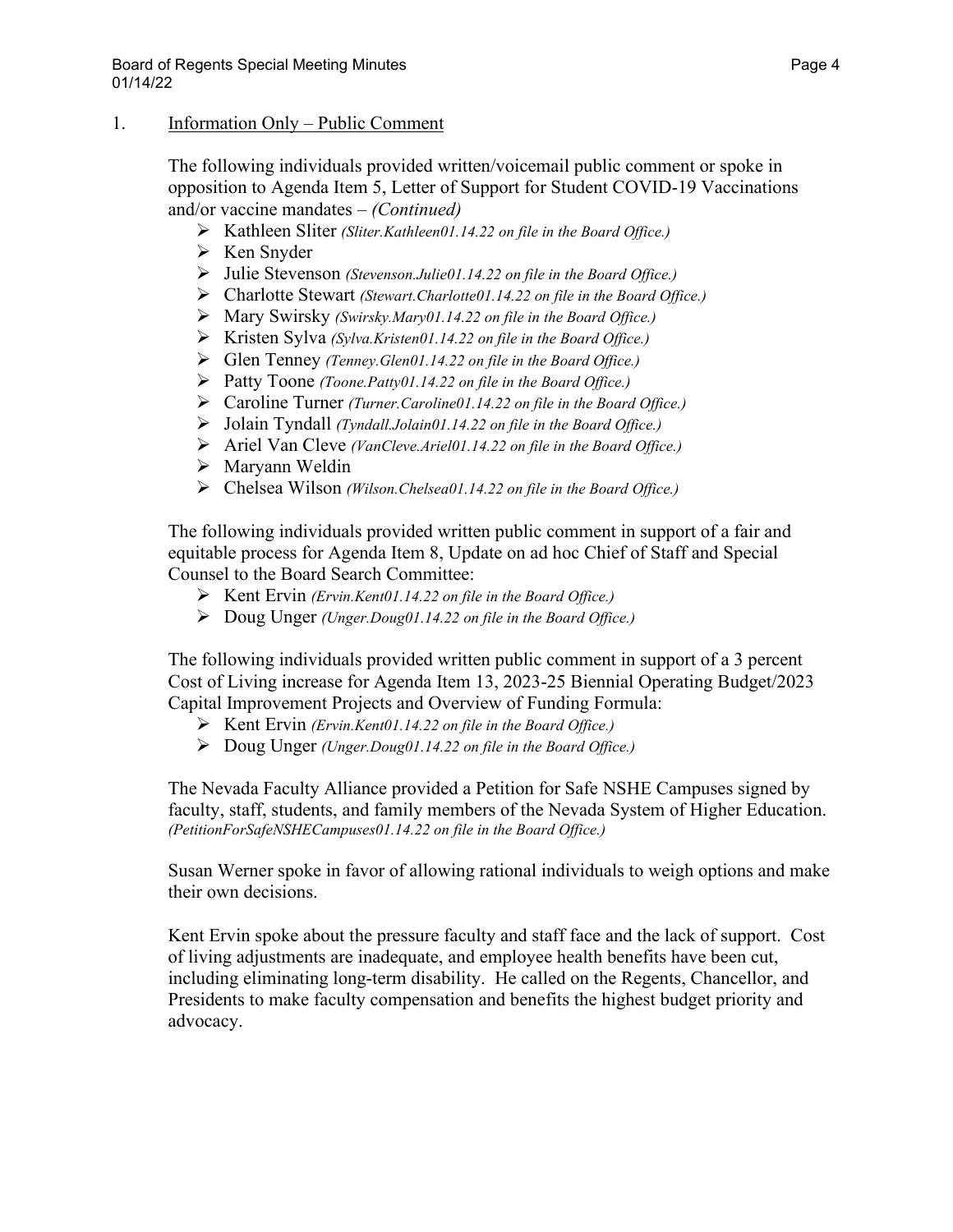### 1. Information Only – Public Comment

The following individuals provided written/voicemail public comment or spoke in opposition to Agenda Item 5, Letter of Support for Student COVID-19 Vaccinations and/or vaccine mandates – *(Continued)*

- Kathleen Sliter *(Sliter.Kathleen01.14.22 on file in the Board Office.)*
- $\triangleright$  Ken Snyder
- Julie Stevenson *(Stevenson.Julie01.14.22 on file in the Board Office.)*
- Charlotte Stewart *(Stewart.Charlotte01.14.22 on file in the Board Office.)*
- Mary Swirsky *(Swirsky.Mary01.14.22 on file in the Board Office.)*
- Kristen Sylva *(Sylva.Kristen01.14.22 on file in the Board Office.)*
- Glen Tenney *(Tenney.Glen01.14.22 on file in the Board Office.)*
- Patty Toone *(Toone.Patty01.14.22 on file in the Board Office.)*
- Caroline Turner *(Turner.Caroline01.14.22 on file in the Board Office.)*
- Jolain Tyndall *(Tyndall.Jolain01.14.22 on file in the Board Office.)*
- Ariel Van Cleve *(VanCleve.Ariel01.14.22 on file in the Board Office.)*
- Maryann Weldin
- Chelsea Wilson *(Wilson.Chelsea01.14.22 on file in the Board Office.)*

The following individuals provided written public comment in support of a fair and equitable process for Agenda Item 8, Update on ad hoc Chief of Staff and Special Counsel to the Board Search Committee:

- Kent Ervin *(Ervin.Kent01.14.22 on file in the Board Office.)*
- Doug Unger *(Unger.Doug01.14.22 on file in the Board Office.)*

The following individuals provided written public comment in support of a 3 percent Cost of Living increase for Agenda Item 13, 2023-25 Biennial Operating Budget/2023 Capital Improvement Projects and Overview of Funding Formula:

- Kent Ervin *(Ervin.Kent01.14.22 on file in the Board Office.)*
- Doug Unger *(Unger.Doug01.14.22 on file in the Board Office.)*

The Nevada Faculty Alliance provided a Petition for Safe NSHE Campuses signed by faculty, staff, students, and family members of the Nevada System of Higher Education. *(PetitionForSafeNSHECampuses01.14.22 on file in the Board Office.)*

Susan Werner spoke in favor of allowing rational individuals to weigh options and make their own decisions.

Kent Ervin spoke about the pressure faculty and staff face and the lack of support. Cost of living adjustments are inadequate, and employee health benefits have been cut, including eliminating long-term disability. He called on the Regents, Chancellor, and Presidents to make faculty compensation and benefits the highest budget priority and advocacy.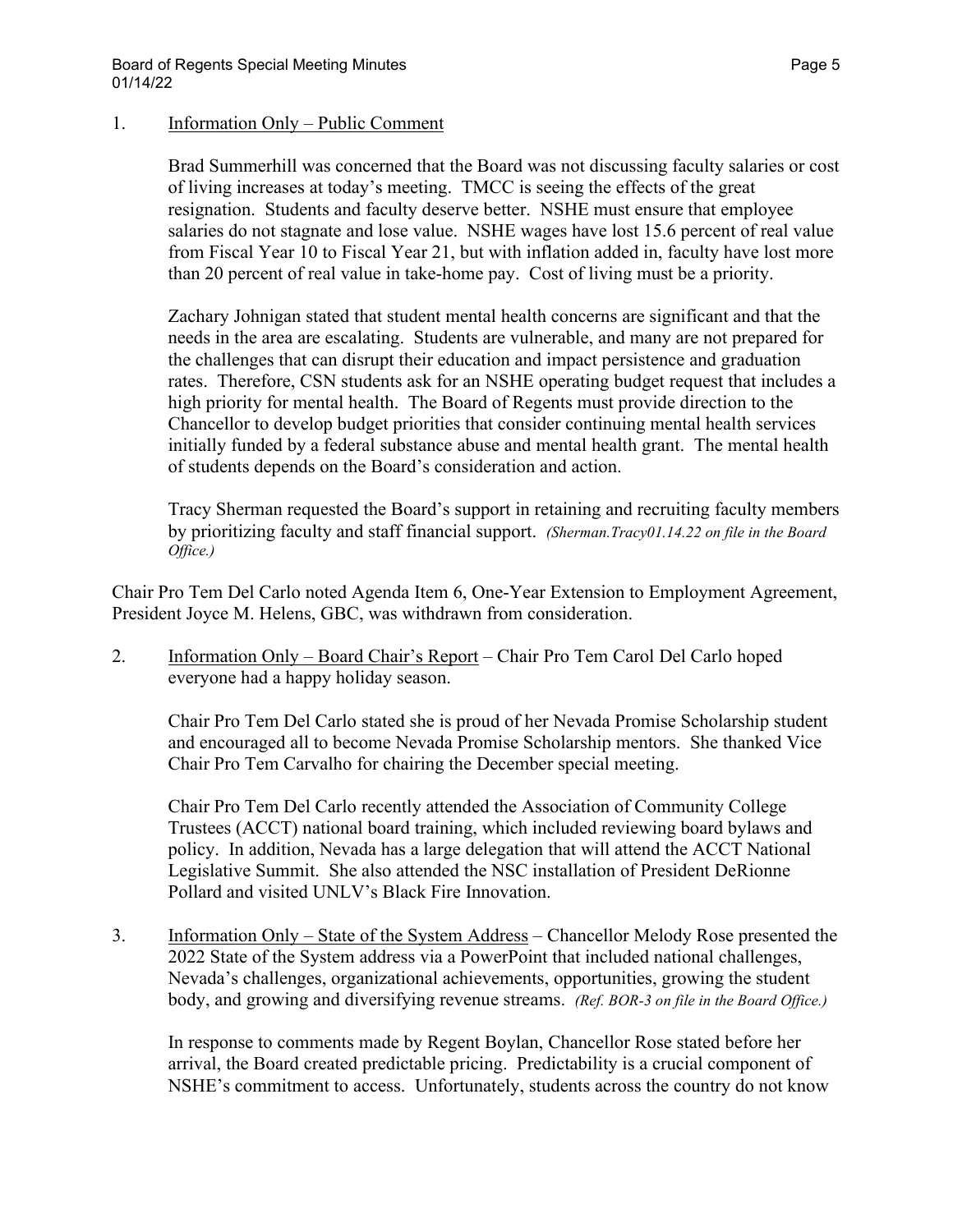#### 1. Information Only – Public Comment

Brad Summerhill was concerned that the Board was not discussing faculty salaries or cost of living increases at today's meeting. TMCC is seeing the effects of the great resignation. Students and faculty deserve better. NSHE must ensure that employee salaries do not stagnate and lose value. NSHE wages have lost 15.6 percent of real value from Fiscal Year 10 to Fiscal Year 21, but with inflation added in, faculty have lost more than 20 percent of real value in take-home pay. Cost of living must be a priority.

Zachary Johnigan stated that student mental health concerns are significant and that the needs in the area are escalating. Students are vulnerable, and many are not prepared for the challenges that can disrupt their education and impact persistence and graduation rates. Therefore, CSN students ask for an NSHE operating budget request that includes a high priority for mental health. The Board of Regents must provide direction to the Chancellor to develop budget priorities that consider continuing mental health services initially funded by a federal substance abuse and mental health grant. The mental health of students depends on the Board's consideration and action.

Tracy Sherman requested the Board's support in retaining and recruiting faculty members by prioritizing faculty and staff financial support. *(Sherman.Tracy01.14.22 on file in the Board Office.)*

Chair Pro Tem Del Carlo noted Agenda Item 6, One-Year Extension to Employment Agreement, President Joyce M. Helens, GBC, was withdrawn from consideration.

2. Information Only – Board Chair's Report – Chair Pro Tem Carol Del Carlo hoped everyone had a happy holiday season.

Chair Pro Tem Del Carlo stated she is proud of her Nevada Promise Scholarship student and encouraged all to become Nevada Promise Scholarship mentors. She thanked Vice Chair Pro Tem Carvalho for chairing the December special meeting.

Chair Pro Tem Del Carlo recently attended the Association of Community College Trustees (ACCT) national board training, which included reviewing board bylaws and policy. In addition, Nevada has a large delegation that will attend the ACCT National Legislative Summit. She also attended the NSC installation of President DeRionne Pollard and visited UNLV's Black Fire Innovation.

3. Information Only – State of the System Address – Chancellor Melody Rose presented the 2022 State of the System address via a PowerPoint that included national challenges, Nevada's challenges, organizational achievements, opportunities, growing the student body, and growing and diversifying revenue streams. *(Ref. BOR-3 on file in the Board Office.)*

In response to comments made by Regent Boylan, Chancellor Rose stated before her arrival, the Board created predictable pricing. Predictability is a crucial component of NSHE's commitment to access. Unfortunately, students across the country do not know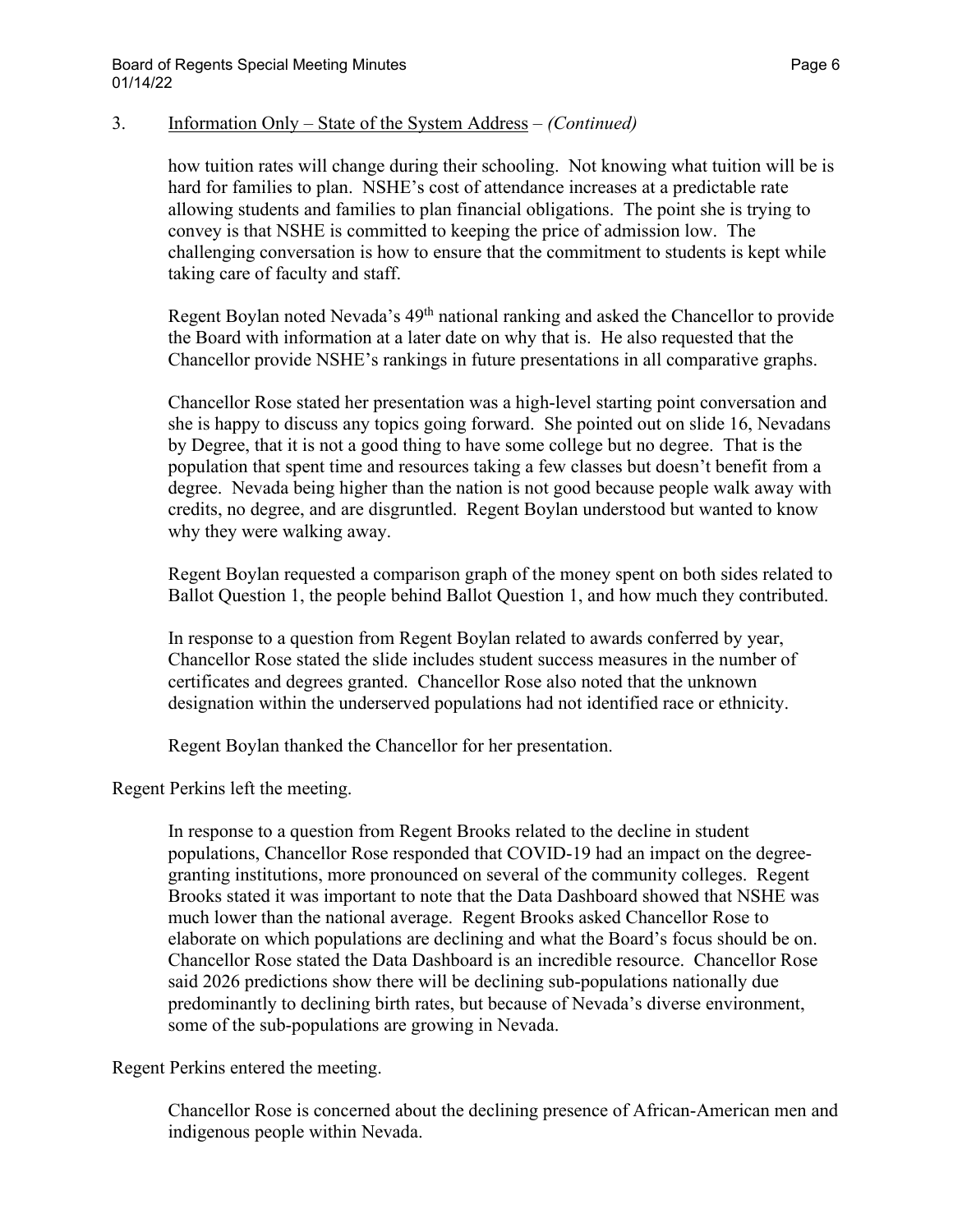#### 3. Information Only – State of the System Address – *(Continued)*

how tuition rates will change during their schooling. Not knowing what tuition will be is hard for families to plan. NSHE's cost of attendance increases at a predictable rate allowing students and families to plan financial obligations. The point she is trying to convey is that NSHE is committed to keeping the price of admission low. The challenging conversation is how to ensure that the commitment to students is kept while taking care of faculty and staff.

Regent Boylan noted Nevada's 49<sup>th</sup> national ranking and asked the Chancellor to provide the Board with information at a later date on why that is. He also requested that the Chancellor provide NSHE's rankings in future presentations in all comparative graphs.

Chancellor Rose stated her presentation was a high-level starting point conversation and she is happy to discuss any topics going forward. She pointed out on slide 16, Nevadans by Degree, that it is not a good thing to have some college but no degree. That is the population that spent time and resources taking a few classes but doesn't benefit from a degree. Nevada being higher than the nation is not good because people walk away with credits, no degree, and are disgruntled. Regent Boylan understood but wanted to know why they were walking away.

Regent Boylan requested a comparison graph of the money spent on both sides related to Ballot Question 1, the people behind Ballot Question 1, and how much they contributed.

In response to a question from Regent Boylan related to awards conferred by year, Chancellor Rose stated the slide includes student success measures in the number of certificates and degrees granted. Chancellor Rose also noted that the unknown designation within the underserved populations had not identified race or ethnicity.

Regent Boylan thanked the Chancellor for her presentation.

Regent Perkins left the meeting.

In response to a question from Regent Brooks related to the decline in student populations, Chancellor Rose responded that COVID-19 had an impact on the degreegranting institutions, more pronounced on several of the community colleges. Regent Brooks stated it was important to note that the Data Dashboard showed that NSHE was much lower than the national average. Regent Brooks asked Chancellor Rose to elaborate on which populations are declining and what the Board's focus should be on. Chancellor Rose stated the Data Dashboard is an incredible resource. Chancellor Rose said 2026 predictions show there will be declining sub-populations nationally due predominantly to declining birth rates, but because of Nevada's diverse environment, some of the sub-populations are growing in Nevada.

Regent Perkins entered the meeting.

Chancellor Rose is concerned about the declining presence of African-American men and indigenous people within Nevada.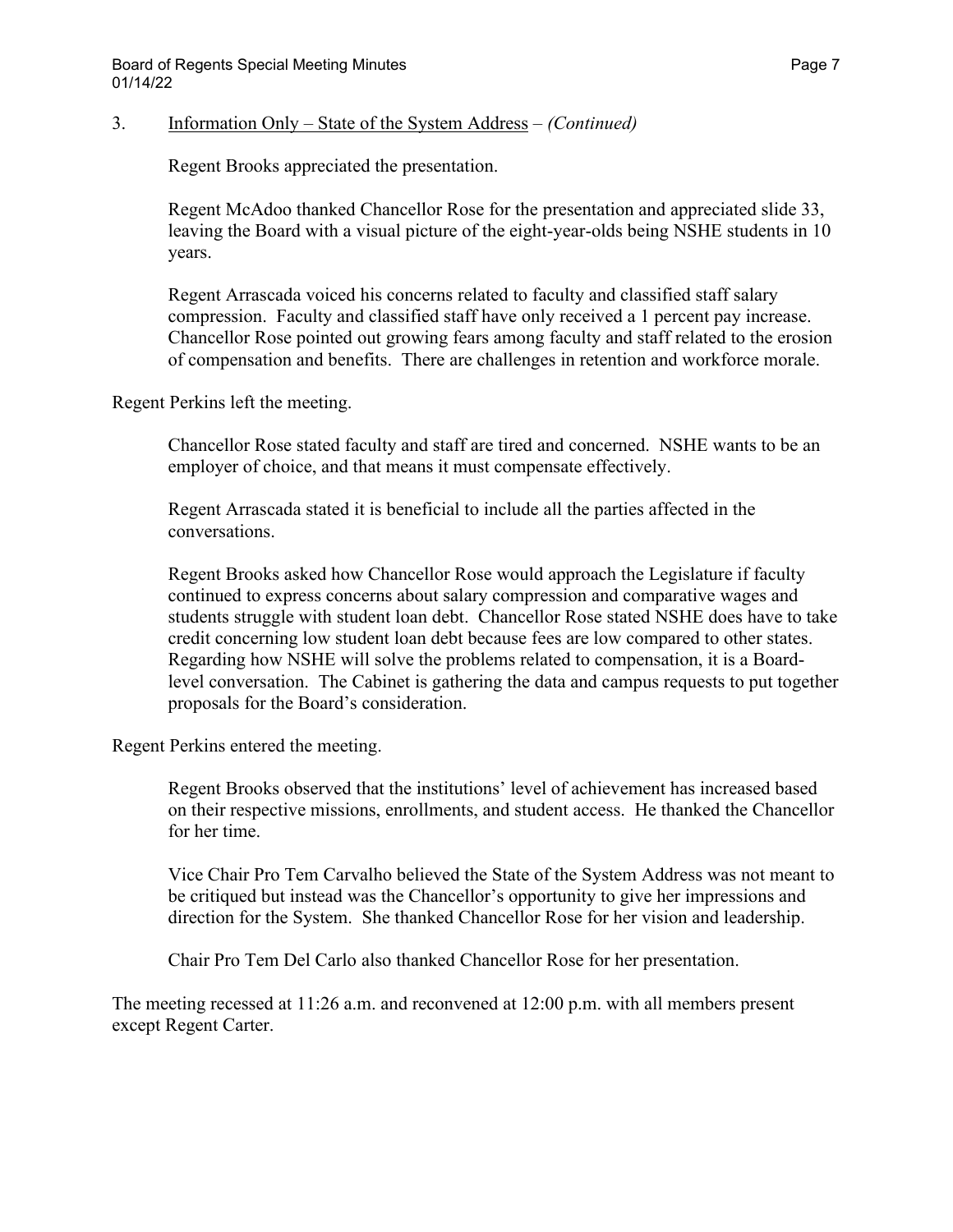### 3. Information Only – State of the System Address – *(Continued)*

Regent Brooks appreciated the presentation.

Regent McAdoo thanked Chancellor Rose for the presentation and appreciated slide 33, leaving the Board with a visual picture of the eight-year-olds being NSHE students in 10 years.

Regent Arrascada voiced his concerns related to faculty and classified staff salary compression. Faculty and classified staff have only received a 1 percent pay increase. Chancellor Rose pointed out growing fears among faculty and staff related to the erosion of compensation and benefits. There are challenges in retention and workforce morale.

Regent Perkins left the meeting.

Chancellor Rose stated faculty and staff are tired and concerned. NSHE wants to be an employer of choice, and that means it must compensate effectively.

Regent Arrascada stated it is beneficial to include all the parties affected in the conversations.

Regent Brooks asked how Chancellor Rose would approach the Legislature if faculty continued to express concerns about salary compression and comparative wages and students struggle with student loan debt. Chancellor Rose stated NSHE does have to take credit concerning low student loan debt because fees are low compared to other states. Regarding how NSHE will solve the problems related to compensation, it is a Boardlevel conversation. The Cabinet is gathering the data and campus requests to put together proposals for the Board's consideration.

Regent Perkins entered the meeting.

Regent Brooks observed that the institutions' level of achievement has increased based on their respective missions, enrollments, and student access. He thanked the Chancellor for her time.

Vice Chair Pro Tem Carvalho believed the State of the System Address was not meant to be critiqued but instead was the Chancellor's opportunity to give her impressions and direction for the System. She thanked Chancellor Rose for her vision and leadership.

Chair Pro Tem Del Carlo also thanked Chancellor Rose for her presentation.

The meeting recessed at 11:26 a.m. and reconvened at 12:00 p.m. with all members present except Regent Carter.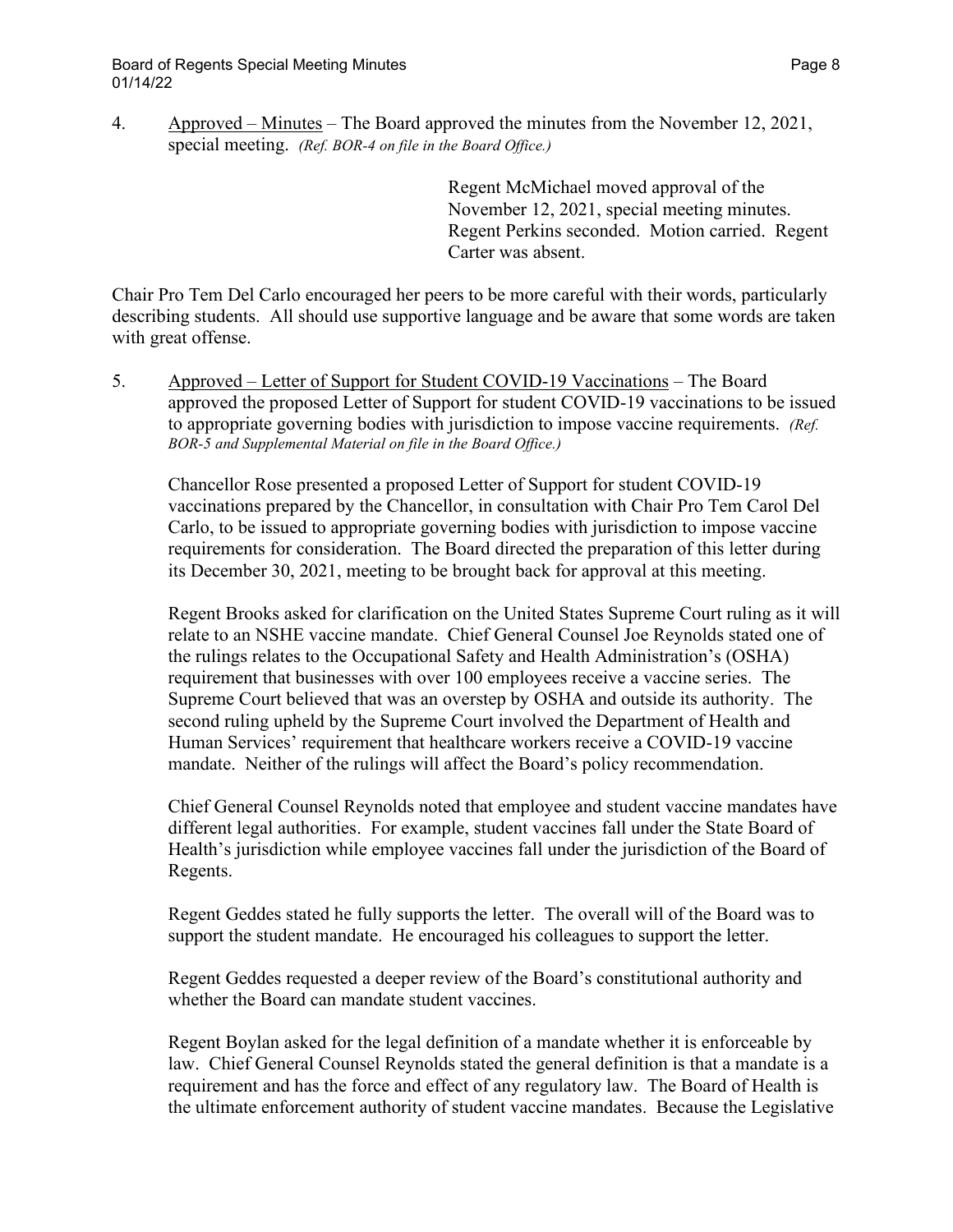4. Approved – Minutes – The Board approved the minutes from the November 12, 2021, special meeting. *(Ref. BOR-4 on file in the Board Office.)* 

> Regent McMichael moved approval of the November 12, 2021, special meeting minutes. Regent Perkins seconded. Motion carried. Regent Carter was absent.

Chair Pro Tem Del Carlo encouraged her peers to be more careful with their words, particularly describing students. All should use supportive language and be aware that some words are taken with great offense.

5. Approved – Letter of Support for Student COVID-19 Vaccinations – The Board approved the proposed Letter of Support for student COVID-19 vaccinations to be issued to appropriate governing bodies with jurisdiction to impose vaccine requirements. *(Ref. BOR-5 and Supplemental Material on file in the Board Office.)* 

Chancellor Rose presented a proposed Letter of Support for student COVID-19 vaccinations prepared by the Chancellor, in consultation with Chair Pro Tem Carol Del Carlo, to be issued to appropriate governing bodies with jurisdiction to impose vaccine requirements for consideration. The Board directed the preparation of this letter during its December 30, 2021, meeting to be brought back for approval at this meeting.

Regent Brooks asked for clarification on the United States Supreme Court ruling as it will relate to an NSHE vaccine mandate. Chief General Counsel Joe Reynolds stated one of the rulings relates to the Occupational Safety and Health Administration's (OSHA) requirement that businesses with over 100 employees receive a vaccine series. The Supreme Court believed that was an overstep by OSHA and outside its authority. The second ruling upheld by the Supreme Court involved the Department of Health and Human Services' requirement that healthcare workers receive a COVID-19 vaccine mandate. Neither of the rulings will affect the Board's policy recommendation.

Chief General Counsel Reynolds noted that employee and student vaccine mandates have different legal authorities. For example, student vaccines fall under the State Board of Health's jurisdiction while employee vaccines fall under the jurisdiction of the Board of Regents.

Regent Geddes stated he fully supports the letter. The overall will of the Board was to support the student mandate. He encouraged his colleagues to support the letter.

Regent Geddes requested a deeper review of the Board's constitutional authority and whether the Board can mandate student vaccines.

Regent Boylan asked for the legal definition of a mandate whether it is enforceable by law. Chief General Counsel Reynolds stated the general definition is that a mandate is a requirement and has the force and effect of any regulatory law. The Board of Health is the ultimate enforcement authority of student vaccine mandates. Because the Legislative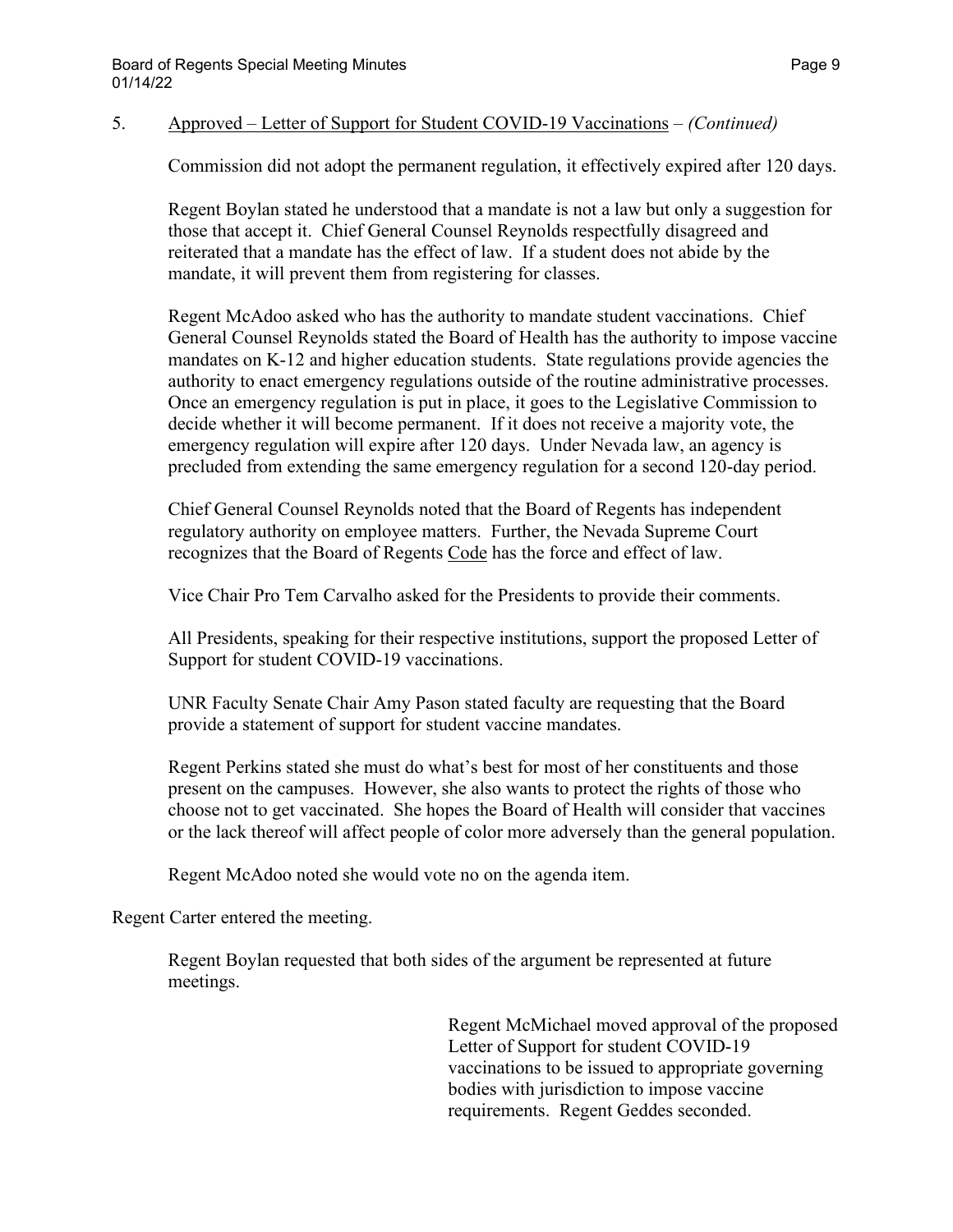#### 5. Approved – Letter of Support for Student COVID-19 Vaccinations – *(Continued)*

Commission did not adopt the permanent regulation, it effectively expired after 120 days.

Regent Boylan stated he understood that a mandate is not a law but only a suggestion for those that accept it. Chief General Counsel Reynolds respectfully disagreed and reiterated that a mandate has the effect of law. If a student does not abide by the mandate, it will prevent them from registering for classes.

Regent McAdoo asked who has the authority to mandate student vaccinations. Chief General Counsel Reynolds stated the Board of Health has the authority to impose vaccine mandates on K-12 and higher education students. State regulations provide agencies the authority to enact emergency regulations outside of the routine administrative processes. Once an emergency regulation is put in place, it goes to the Legislative Commission to decide whether it will become permanent. If it does not receive a majority vote, the emergency regulation will expire after 120 days. Under Nevada law, an agency is precluded from extending the same emergency regulation for a second 120-day period.

Chief General Counsel Reynolds noted that the Board of Regents has independent regulatory authority on employee matters. Further, the Nevada Supreme Court recognizes that the Board of Regents Code has the force and effect of law.

Vice Chair Pro Tem Carvalho asked for the Presidents to provide their comments.

All Presidents, speaking for their respective institutions, support the proposed Letter of Support for student COVID-19 vaccinations.

UNR Faculty Senate Chair Amy Pason stated faculty are requesting that the Board provide a statement of support for student vaccine mandates.

Regent Perkins stated she must do what's best for most of her constituents and those present on the campuses. However, she also wants to protect the rights of those who choose not to get vaccinated. She hopes the Board of Health will consider that vaccines or the lack thereof will affect people of color more adversely than the general population.

Regent McAdoo noted she would vote no on the agenda item.

Regent Carter entered the meeting.

Regent Boylan requested that both sides of the argument be represented at future meetings.

> Regent McMichael moved approval of the proposed Letter of Support for student COVID-19 vaccinations to be issued to appropriate governing bodies with jurisdiction to impose vaccine requirements. Regent Geddes seconded.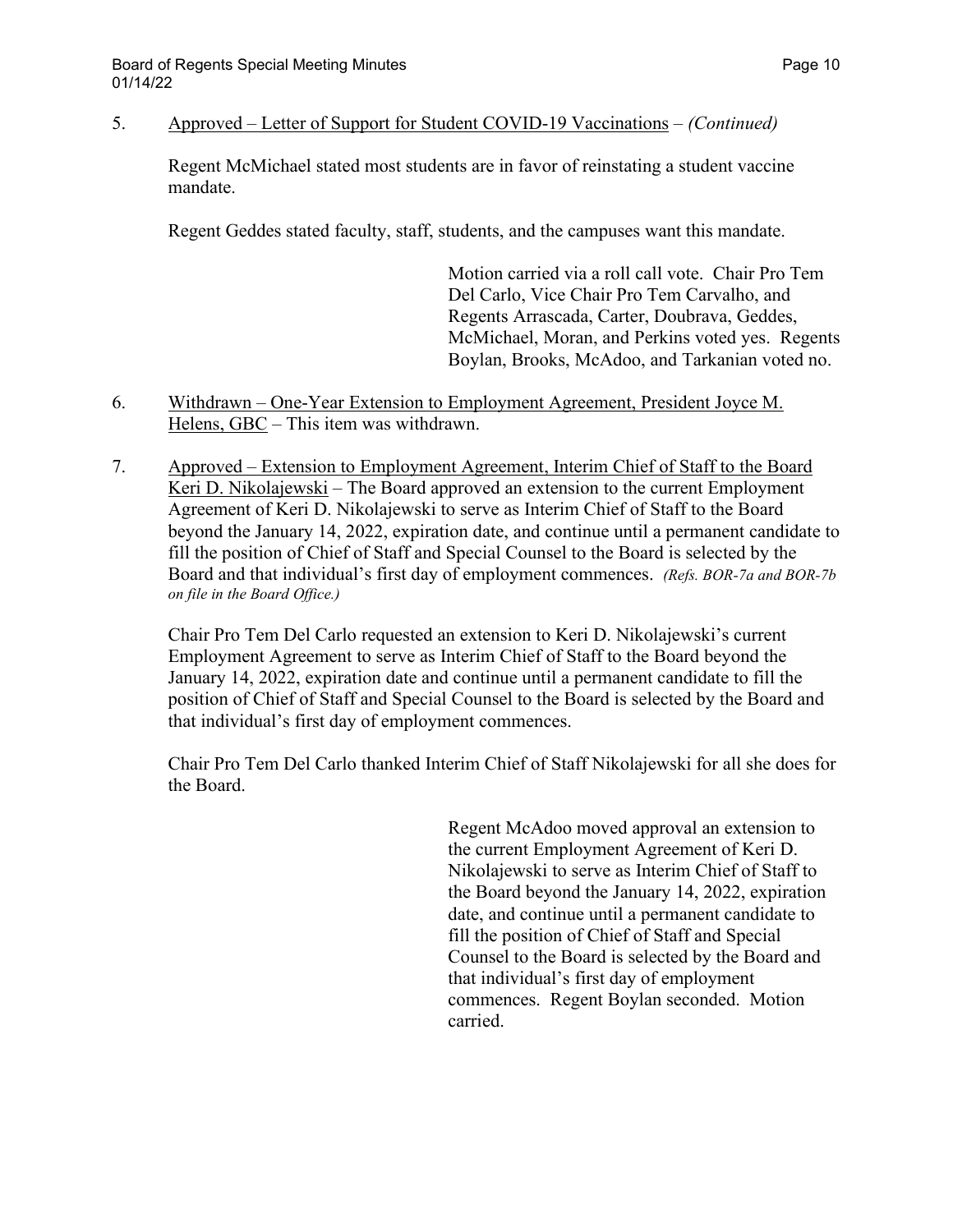5. Approved – Letter of Support for Student COVID-19 Vaccinations – *(Continued)*

Regent McMichael stated most students are in favor of reinstating a student vaccine mandate.

Regent Geddes stated faculty, staff, students, and the campuses want this mandate.

Motion carried via a roll call vote. Chair Pro Tem Del Carlo, Vice Chair Pro Tem Carvalho, and Regents Arrascada, Carter, Doubrava, Geddes, McMichael, Moran, and Perkins voted yes. Regents Boylan, Brooks, McAdoo, and Tarkanian voted no.

- 6. Withdrawn One-Year Extension to Employment Agreement, President Joyce M. Helens, GBC – This item was withdrawn.
- 7. Approved Extension to Employment Agreement, Interim Chief of Staff to the Board Keri D. Nikolajewski – The Board approved an extension to the current Employment Agreement of Keri D. Nikolajewski to serve as Interim Chief of Staff to the Board beyond the January 14, 2022, expiration date, and continue until a permanent candidate to fill the position of Chief of Staff and Special Counsel to the Board is selected by the Board and that individual's first day of employment commences. *(Refs. BOR-7a and BOR-7b on file in the Board Office.)*

Chair Pro Tem Del Carlo requested an extension to Keri D. Nikolajewski's current Employment Agreement to serve as Interim Chief of Staff to the Board beyond the January 14, 2022, expiration date and continue until a permanent candidate to fill the position of Chief of Staff and Special Counsel to the Board is selected by the Board and that individual's first day of employment commences.

Chair Pro Tem Del Carlo thanked Interim Chief of Staff Nikolajewski for all she does for the Board.

> Regent McAdoo moved approval an extension to the current Employment Agreement of Keri D. Nikolajewski to serve as Interim Chief of Staff to the Board beyond the January 14, 2022, expiration date, and continue until a permanent candidate to fill the position of Chief of Staff and Special Counsel to the Board is selected by the Board and that individual's first day of employment commences. Regent Boylan seconded. Motion carried.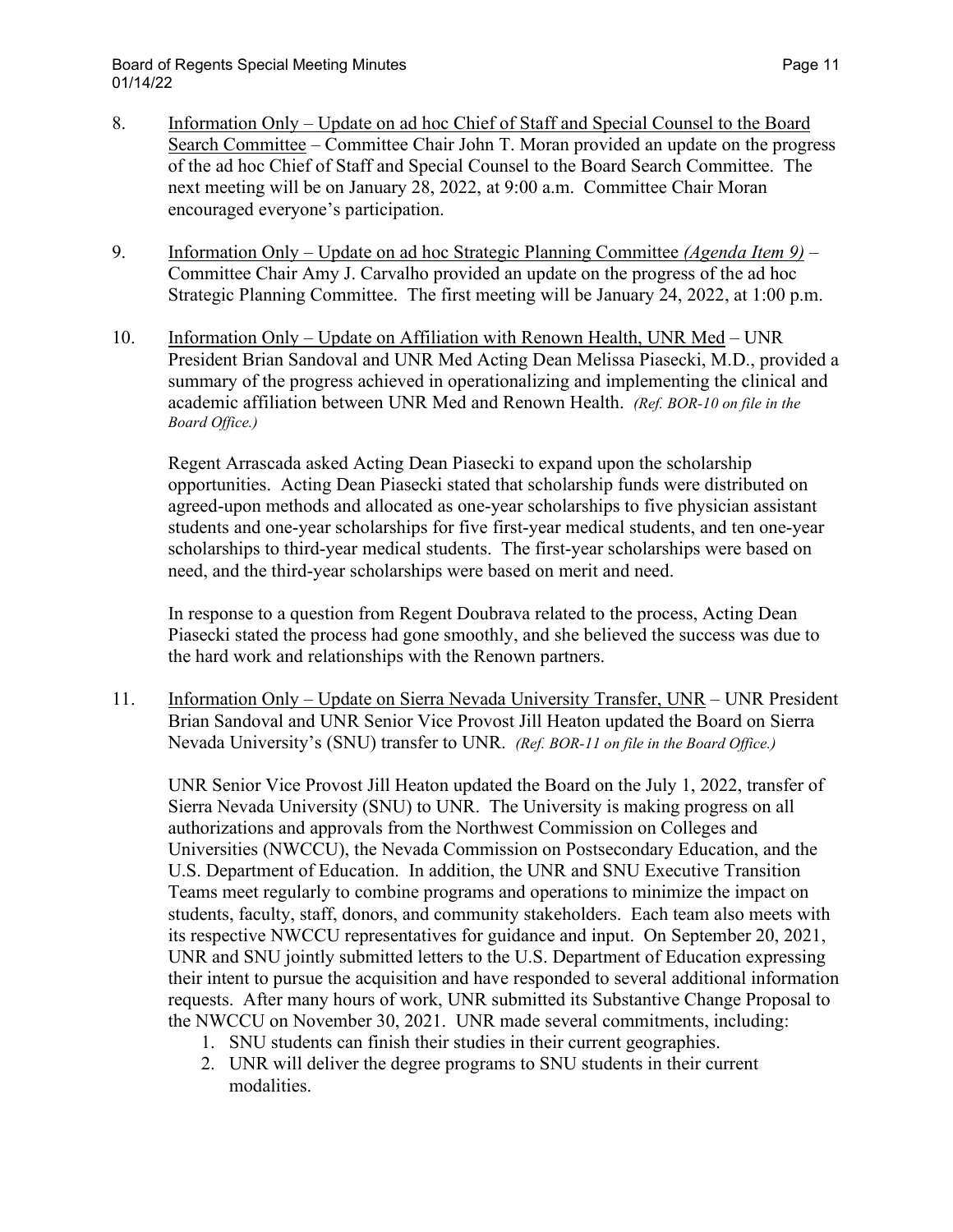- 8. Information Only Update on ad hoc Chief of Staff and Special Counsel to the Board Search Committee – Committee Chair John T. Moran provided an update on the progress of the ad hoc Chief of Staff and Special Counsel to the Board Search Committee. The next meeting will be on January 28, 2022, at 9:00 a.m. Committee Chair Moran encouraged everyone's participation.
- 9. Information Only Update on ad hoc Strategic Planning Committee *(Agenda Item 9)* Committee Chair Amy J. Carvalho provided an update on the progress of the ad hoc Strategic Planning Committee. The first meeting will be January 24, 2022, at 1:00 p.m.
- 10. Information Only Update on Affiliation with Renown Health, UNR Med UNR President Brian Sandoval and UNR Med Acting Dean Melissa Piasecki, M.D., provided a summary of the progress achieved in operationalizing and implementing the clinical and academic affiliation between UNR Med and Renown Health. *(Ref. BOR-10 on file in the Board Office.)*

Regent Arrascada asked Acting Dean Piasecki to expand upon the scholarship opportunities. Acting Dean Piasecki stated that scholarship funds were distributed on agreed-upon methods and allocated as one-year scholarships to five physician assistant students and one-year scholarships for five first-year medical students, and ten one-year scholarships to third-year medical students. The first-year scholarships were based on need, and the third-year scholarships were based on merit and need.

In response to a question from Regent Doubrava related to the process, Acting Dean Piasecki stated the process had gone smoothly, and she believed the success was due to the hard work and relationships with the Renown partners.

11. Information Only – Update on Sierra Nevada University Transfer, UNR – UNR President Brian Sandoval and UNR Senior Vice Provost Jill Heaton updated the Board on Sierra Nevada University's (SNU) transfer to UNR. *(Ref. BOR-11 on file in the Board Office.)*

UNR Senior Vice Provost Jill Heaton updated the Board on the July 1, 2022, transfer of Sierra Nevada University (SNU) to UNR. The University is making progress on all authorizations and approvals from the Northwest Commission on Colleges and Universities (NWCCU), the Nevada Commission on Postsecondary Education, and the U.S. Department of Education. In addition, the UNR and SNU Executive Transition Teams meet regularly to combine programs and operations to minimize the impact on students, faculty, staff, donors, and community stakeholders. Each team also meets with its respective NWCCU representatives for guidance and input. On September 20, 2021, UNR and SNU jointly submitted letters to the U.S. Department of Education expressing their intent to pursue the acquisition and have responded to several additional information requests. After many hours of work, UNR submitted its Substantive Change Proposal to the NWCCU on November 30, 2021. UNR made several commitments, including:

- 1. SNU students can finish their studies in their current geographies.
- 2. UNR will deliver the degree programs to SNU students in their current modalities.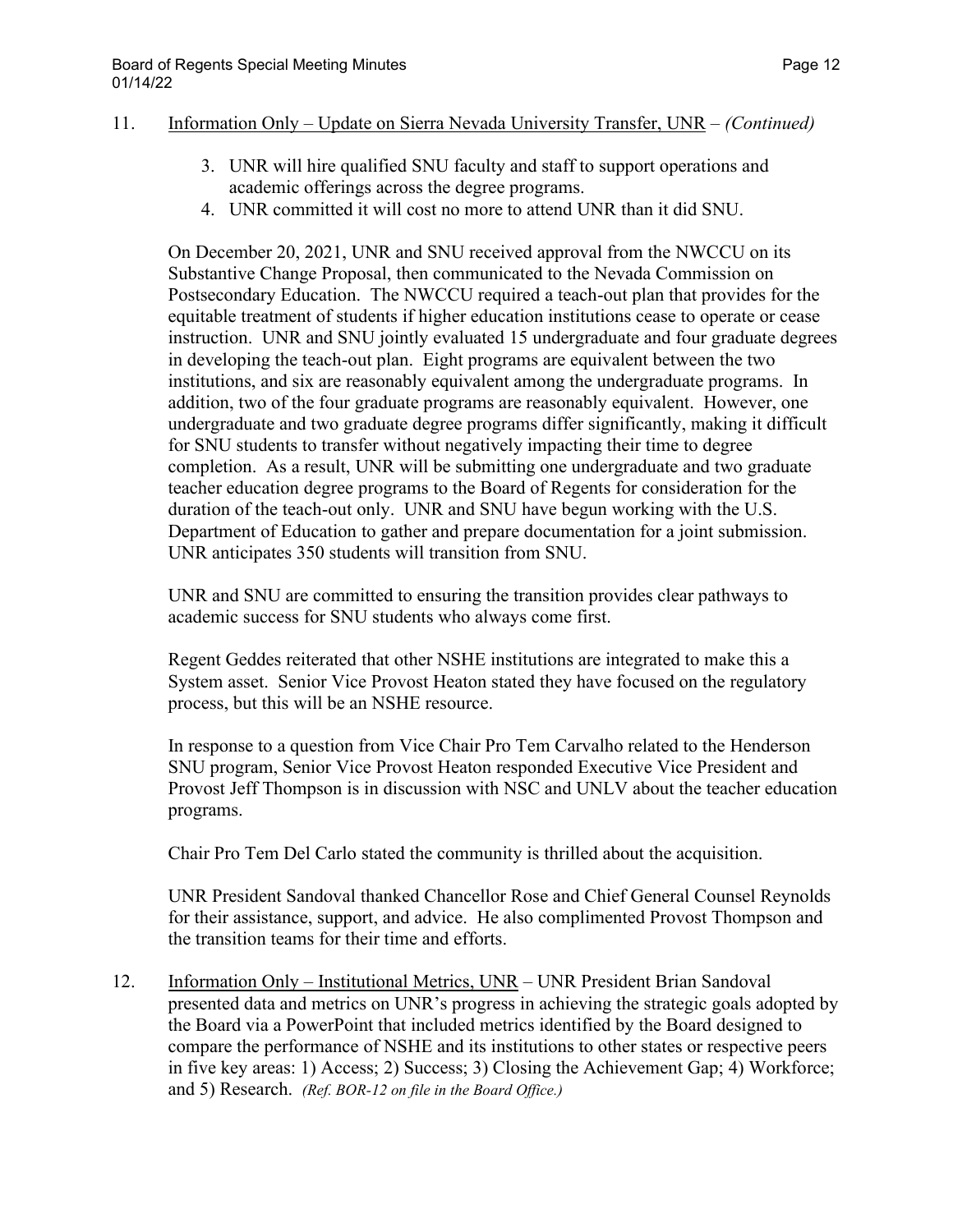#### 11. Information Only – Update on Sierra Nevada University Transfer, UNR – *(Continued)*

- 3. UNR will hire qualified SNU faculty and staff to support operations and academic offerings across the degree programs.
- 4. UNR committed it will cost no more to attend UNR than it did SNU.

On December 20, 2021, UNR and SNU received approval from the NWCCU on its Substantive Change Proposal, then communicated to the Nevada Commission on Postsecondary Education. The NWCCU required a teach-out plan that provides for the equitable treatment of students if higher education institutions cease to operate or cease instruction. UNR and SNU jointly evaluated 15 undergraduate and four graduate degrees in developing the teach-out plan. Eight programs are equivalent between the two institutions, and six are reasonably equivalent among the undergraduate programs. In addition, two of the four graduate programs are reasonably equivalent. However, one undergraduate and two graduate degree programs differ significantly, making it difficult for SNU students to transfer without negatively impacting their time to degree completion. As a result, UNR will be submitting one undergraduate and two graduate teacher education degree programs to the Board of Regents for consideration for the duration of the teach-out only. UNR and SNU have begun working with the U.S. Department of Education to gather and prepare documentation for a joint submission. UNR anticipates 350 students will transition from SNU.

UNR and SNU are committed to ensuring the transition provides clear pathways to academic success for SNU students who always come first.

Regent Geddes reiterated that other NSHE institutions are integrated to make this a System asset. Senior Vice Provost Heaton stated they have focused on the regulatory process, but this will be an NSHE resource.

In response to a question from Vice Chair Pro Tem Carvalho related to the Henderson SNU program, Senior Vice Provost Heaton responded Executive Vice President and Provost Jeff Thompson is in discussion with NSC and UNLV about the teacher education programs.

Chair Pro Tem Del Carlo stated the community is thrilled about the acquisition.

UNR President Sandoval thanked Chancellor Rose and Chief General Counsel Reynolds for their assistance, support, and advice. He also complimented Provost Thompson and the transition teams for their time and efforts.

12. Information Only – Institutional Metrics, UNR – UNR President Brian Sandoval presented data and metrics on UNR's progress in achieving the strategic goals adopted by the Board via a PowerPoint that included metrics identified by the Board designed to compare the performance of NSHE and its institutions to other states or respective peers in five key areas: 1) Access; 2) Success; 3) Closing the Achievement Gap; 4) Workforce; and 5) Research. *(Ref. BOR-12 on file in the Board Office.)*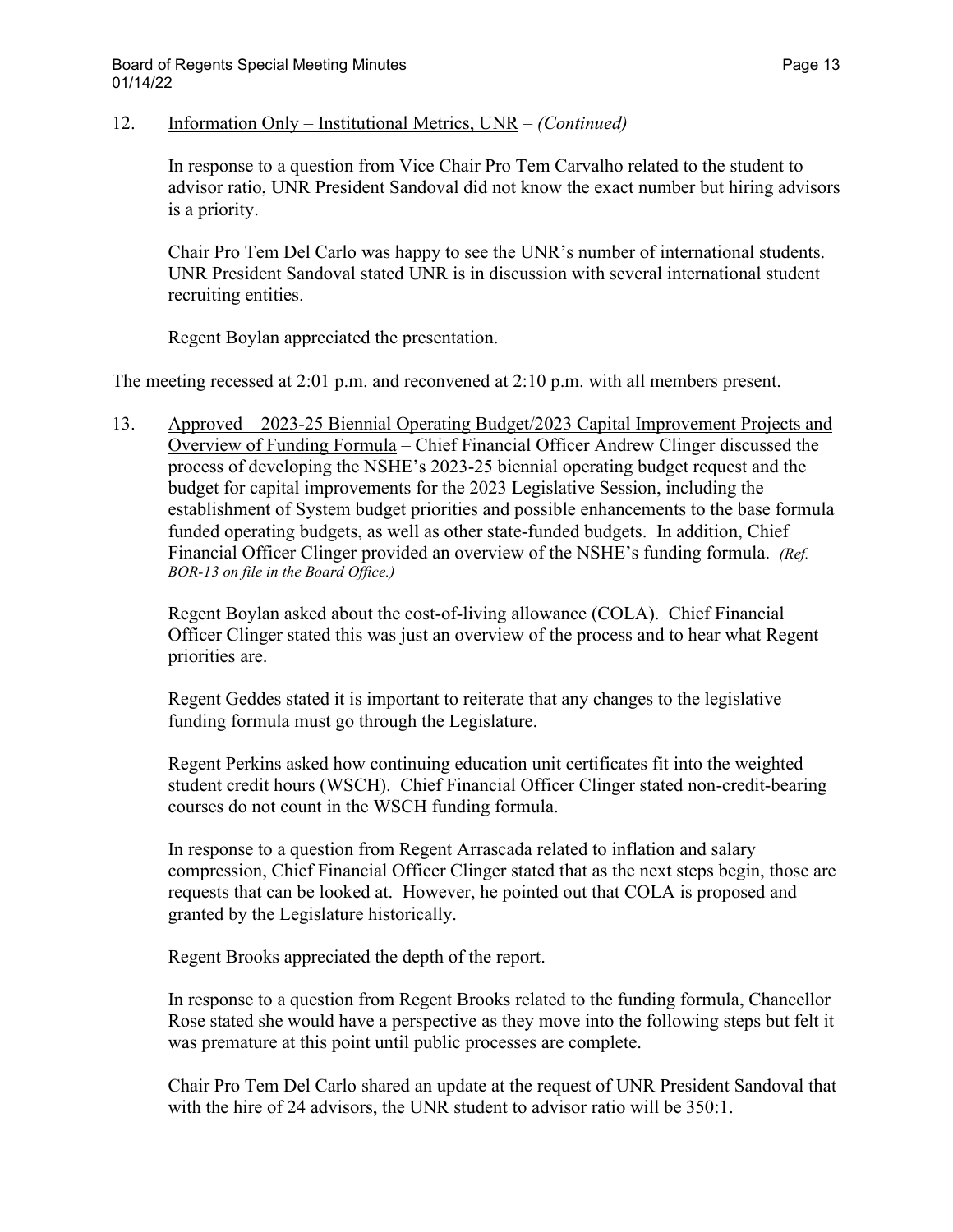12. Information Only – Institutional Metrics, UNR – *(Continued)*

In response to a question from Vice Chair Pro Tem Carvalho related to the student to advisor ratio, UNR President Sandoval did not know the exact number but hiring advisors is a priority.

Chair Pro Tem Del Carlo was happy to see the UNR's number of international students. UNR President Sandoval stated UNR is in discussion with several international student recruiting entities.

Regent Boylan appreciated the presentation.

The meeting recessed at 2:01 p.m. and reconvened at 2:10 p.m. with all members present.

13. Approved – 2023-25 Biennial Operating Budget/2023 Capital Improvement Projects and Overview of Funding Formula – Chief Financial Officer Andrew Clinger discussed the process of developing the NSHE's 2023-25 biennial operating budget request and the budget for capital improvements for the 2023 Legislative Session, including the establishment of System budget priorities and possible enhancements to the base formula funded operating budgets, as well as other state-funded budgets. In addition, Chief Financial Officer Clinger provided an overview of the NSHE's funding formula. *(Ref. BOR-13 on file in the Board Office.)*

Regent Boylan asked about the cost-of-living allowance (COLA). Chief Financial Officer Clinger stated this was just an overview of the process and to hear what Regent priorities are.

Regent Geddes stated it is important to reiterate that any changes to the legislative funding formula must go through the Legislature.

Regent Perkins asked how continuing education unit certificates fit into the weighted student credit hours (WSCH). Chief Financial Officer Clinger stated non-credit-bearing courses do not count in the WSCH funding formula.

In response to a question from Regent Arrascada related to inflation and salary compression, Chief Financial Officer Clinger stated that as the next steps begin, those are requests that can be looked at. However, he pointed out that COLA is proposed and granted by the Legislature historically.

Regent Brooks appreciated the depth of the report.

In response to a question from Regent Brooks related to the funding formula, Chancellor Rose stated she would have a perspective as they move into the following steps but felt it was premature at this point until public processes are complete.

Chair Pro Tem Del Carlo shared an update at the request of UNR President Sandoval that with the hire of 24 advisors, the UNR student to advisor ratio will be 350:1.